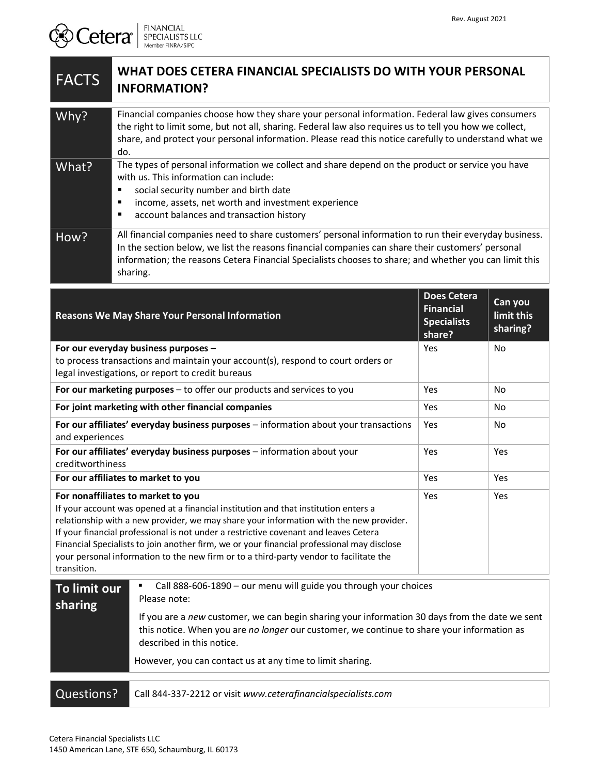## FACTS **WHAT DOES CETERA FINANCIAL SPECIALISTS DO WITH YOUR PERSONAL INFORMATION?** Why? Financial companies choose how they share your personal information. Federal law gives consumers the right to limit some, but not all, sharing. Federal law also requires us to tell you how we collect, share, and protect your personal information. Please read this notice carefully to understand what we do. What? The types of personal information we collect and share depend on the product or service you have with us. This information can include: social security number and birth date income, assets, net worth and investment experience **account balances and transaction history** How? All financial companies need to share customers' personal information to run their everyday business. In the section below, we list the reasons financial companies can share their customers' personal information; the reasons Cetera Financial Specialists chooses to share; and whether you can limit this sharing. **Reasons We May Share Your Personal Information Does Cetera Financial Specialists share? Can you limit this sharing? For our everyday business purposes** – to process transactions and maintain your account(s), respond to court orders or legal investigations, or report to credit bureaus Yes No **For our marketing purposes** – to offer our products and services to you Yes Yes No **For joint marketing with other financial companies** The North State State State State North North State State State State State State State State State State State State State State State State State State State State Sta **For our affiliates' everyday business purposes** – information about your transactions and experiences Yes | No **For our affiliates' everyday business purposes** – information about your creditworthiness Yes Yes **For our affiliates to market to you** Nester The Market to you **For nonaffiliates to market to you**  If your account was opened at a financial institution and that institution enters a relationship with a new provider, we may share your information with the new provider. If your financial professional is not under a restrictive covenant and leaves Cetera Financial Specialists to join another firm, we or your financial professional may disclose your personal information to the new firm or to a third-party vendor to facilitate the transition. Yes Yes **To limit our sharing** Call 888-606-1890 – our menu will guide you through your choices Please note: If you are a *new* customer, we can begin sharing your information 30 days from the date we sent this notice. When you are *no longer* our customer, we continue to share your information as described in this notice. However, you can contact us at any time to limit sharing. Questions? Call 844-337-2212 or visit www.ceterafinancialspecialists.com